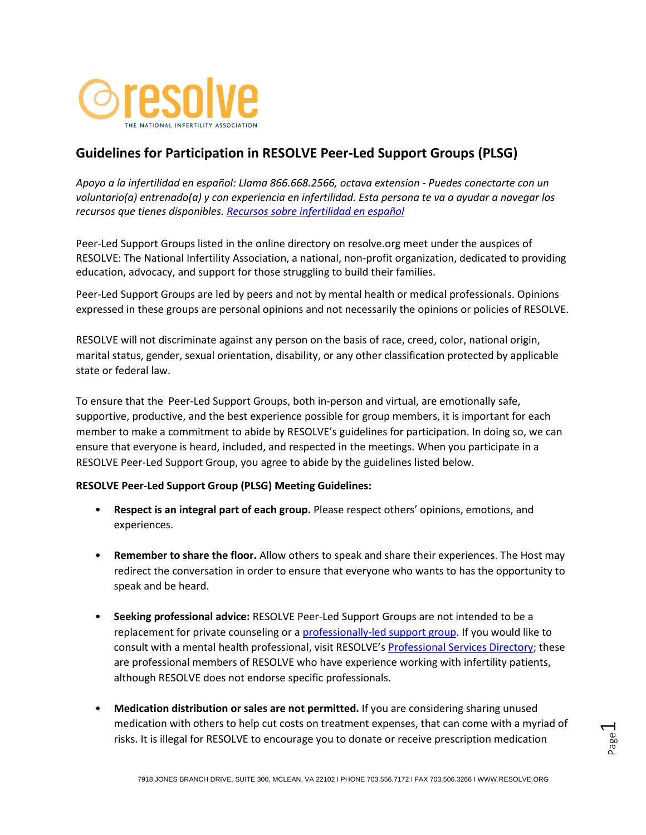

# **Guidelines for Participation in RESOLVE Peer-Led Support Groups (PLSG)**

*Apoyo a la infertilidad en español: Llama 866.668.2566, octava extension - Puedes conectarte con un voluntario(a) entrenado(a) y con experiencia en infertilidad. Esta persona te va a ayudar a navegar los recursos que tienes disponibles. [Recursos sobre infertilidad en español](https://resolve.org/support/helpful-resources/recursos-sobre-infertilidad-en-espanol/)*

Peer-Led Support Groups listed in the online directory on resolve.org meet under the auspices of RESOLVE: The National Infertility Association, a national, non-profit organization, dedicated to providing education, advocacy, and support for those struggling to build their families.

Peer-Led Support Groups are led by peers and not by mental health or medical professionals. Opinions expressed in these groups are personal opinions and not necessarily the opinions or policies of RESOLVE.

RESOLVE will not discriminate against any person on the basis of race, creed, color, national origin, marital status, gender, sexual orientation, disability, or any other classification protected by applicable state or federal law.

To ensure that the Peer-Led Support Groups, both in-person and virtual, are emotionally safe, supportive, productive, and the best experience possible for group members, it is important for each member to make a commitment to abide by RESOLVE's guidelines for participation. In doing so, we can ensure that everyone is heard, included, and respected in the meetings. When you participate in a RESOLVE Peer-Led Support Group, you agree to abide by the guidelines listed below.

### **RESOLVE Peer-Led Support Group (PLSG) Meeting Guidelines:**

- **Respect is an integral part of each group.** Please respect others' opinions, emotions, and experiences.
- **Remember to share the floor.** Allow others to speak and share their experiences. The Host may redirect the conversation in order to ensure that everyone who wants to has the opportunity to speak and be heard.
- **Seeking professional advice:** RESOLVE Peer-Led Support Groups are not intended to be a replacement for private counseling or a [professionally-led support group.](https://resolve.org/support/resolve-support-groups/professional-led-support-groups-list/) If you would like to consult with a mental health professional, visit RESOLVE's [Professional Services Directory;](https://resolve.org/support/professional-services-directory/) these are professional members of RESOLVE who have experience working with infertility patients, although RESOLVE does not endorse specific professionals.
- **Medication distribution or sales are not permitted.** If you are considering sharing unused medication with others to help cut costs on treatment expenses, that can come with a myriad of risks. It is illegal for RESOLVE to encourage you to donate or receive prescription medication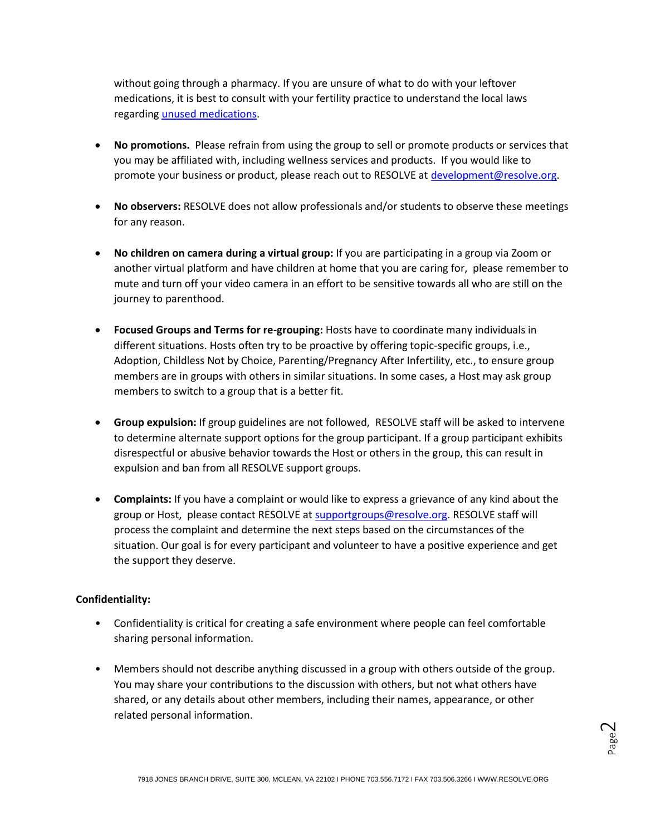without going through a pharmacy. If you are unsure of what to do with your leftover medications, it is best to consult with your fertility practice to understand the local laws regarding [unused medications.](https://resolve.org/what-are-my-options/medications/)

- **No promotions.** Please refrain from using the group to sell or promote products or services that you may be affiliated with, including wellness services and products. If you would like to promote your business or product, please reach out to RESOLVE at [development@resolve.org.](mailto:development@resolve.org)
- **No observers:** RESOLVE does not allow professionals and/or students to observe these meetings for any reason.
- **No children on camera during a virtual group:** If you are participating in a group via Zoom or another virtual platform and have children at home that you are caring for, please remember to mute and turn off your video camera in an effort to be sensitive towards all who are still on the journey to parenthood.
- **Focused Groups and Terms for re-grouping:** Hosts have to coordinate many individuals in different situations. Hosts often try to be proactive by offering topic-specific groups, i.e., Adoption, Childless Not by Choice, Parenting/Pregnancy After Infertility, etc., to ensure group members are in groups with others in similar situations. In some cases, a Host may ask group members to switch to a group that is a better fit.
- **Group expulsion:** If group guidelines are not followed, RESOLVE staff will be asked to intervene to determine alternate support options for the group participant. If a group participant exhibits disrespectful or abusive behavior towards the Host or others in the group, this can result in expulsion and ban from all RESOLVE support groups.
- **Complaints:** If you have a complaint or would like to express a grievance of any kind about the group or Host, please contact RESOLVE a[t supportgroups@resolve.org.](mailto:supportgroups@resolve.org) RESOLVE staff will process the complaint and determine the next steps based on the circumstances of the situation. Our goal is for every participant and volunteer to have a positive experience and get the support they deserve.

## **Confidentiality:**

- Confidentiality is critical for creating a safe environment where people can feel comfortable sharing personal information.
- Members should not describe anything discussed in a group with others outside of the group. You may share your contributions to the discussion with others, but not what others have shared, or any details about other members, including their names, appearance, or other related personal information.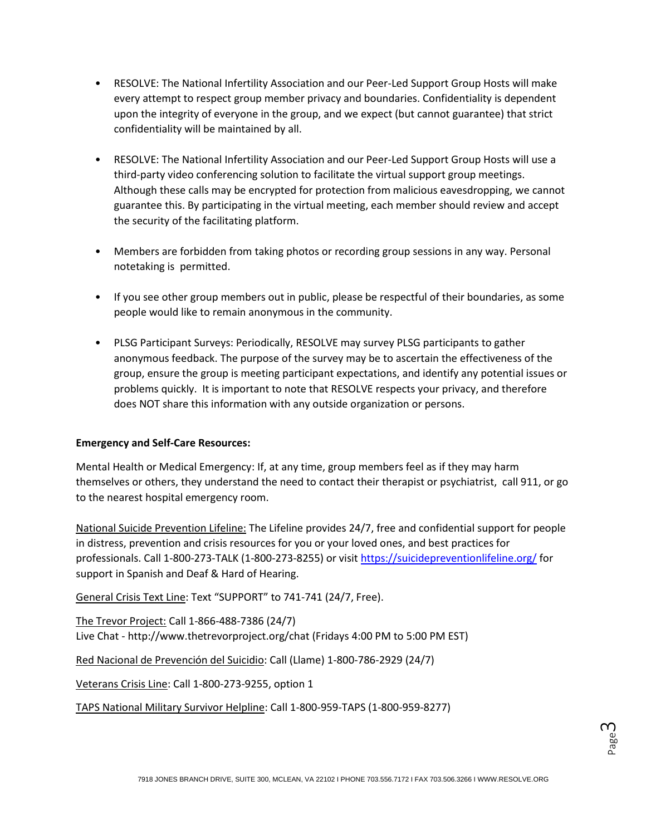- RESOLVE: The National Infertility Association and our Peer-Led Support Group Hosts will make every attempt to respect group member privacy and boundaries. Confidentiality is dependent upon the integrity of everyone in the group, and we expect (but cannot guarantee) that strict confidentiality will be maintained by all.
- RESOLVE: The National Infertility Association and our Peer-Led Support Group Hosts will use a third-party video conferencing solution to facilitate the virtual support group meetings. Although these calls may be encrypted for protection from malicious eavesdropping, we cannot guarantee this. By participating in the virtual meeting, each member should review and accept the security of the facilitating platform.
- Members are forbidden from taking photos or recording group sessions in any way. Personal notetaking is permitted.
- If you see other group members out in public, please be respectful of their boundaries, as some people would like to remain anonymous in the community.
- PLSG Participant Surveys: Periodically, RESOLVE may survey PLSG participants to gather anonymous feedback. The purpose of the survey may be to ascertain the effectiveness of the group, ensure the group is meeting participant expectations, and identify any potential issues or problems quickly. It is important to note that RESOLVE respects your privacy, and therefore does NOT share this information with any outside organization or persons.

### **Emergency and Self-Care Resources:**

Mental Health or Medical Emergency: If, at any time, group members feel as if they may harm themselves or others, they understand the need to contact their therapist or psychiatrist, call 911, or go to the nearest hospital emergency room.

National Suicide Prevention Lifeline: The Lifeline provides 24/7, free and confidential support for people in distress, prevention and crisis resources for you or your loved ones, and best practices for professionals. Call 1-800-273-TALK (1-800-273-8255) or visit<https://suicidepreventionlifeline.org/> for support in Spanish and Deaf & Hard of Hearing.

General Crisis Text Line: Text "SUPPORT" to 741-741 (24/7, Free).

The Trevor Project: Call 1-866-488-7386 (24/7) Live Chat - http://www.thetrevorproject.org/chat (Fridays 4:00 PM to 5:00 PM EST)

Red Nacional de Prevención del Suicidio: Call (Llame) 1-800-786-2929 (24/7)

Veterans Crisis Line: Call 1-800-273-9255, option 1

TAPS National Military Survivor Helpline: Call 1-800-959-TAPS (1-800-959-8277)